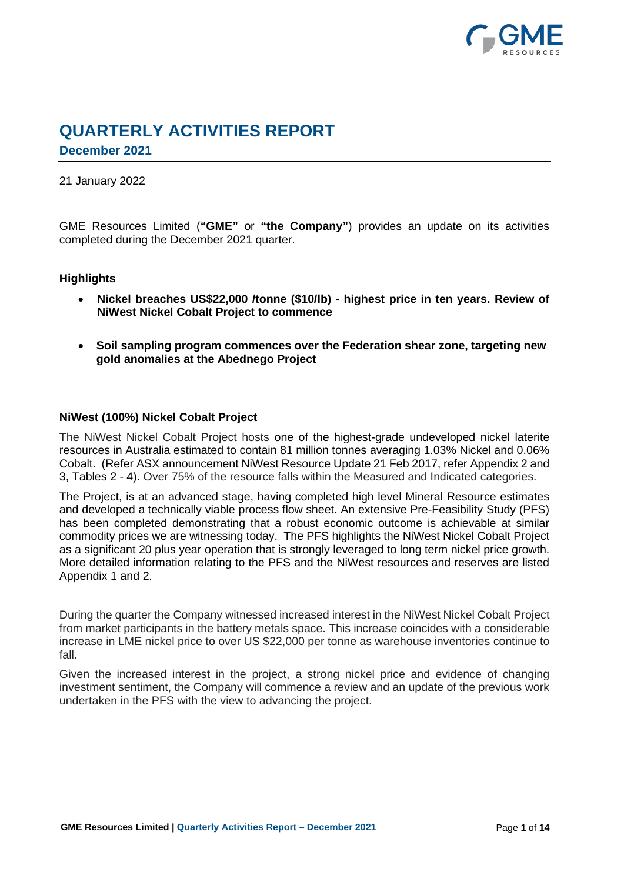

# **QUARTERLY ACTIVITIES REPORT**

**December 2021**

# 21 January 2022

GME Resources Limited (**"GME"** or **"the Company"**) provides an update on its activities completed during the December 2021 quarter.

# **Highlights**

- **Nickel breaches US\$22,000 /tonne (\$10/lb) - highest price in ten years. Review of NiWest Nickel Cobalt Project to commence**
- **Soil sampling program commences over the Federation shear zone, targeting new gold anomalies at the Abednego Project**

# **NiWest (100%) Nickel Cobalt Project**

The NiWest Nickel Cobalt Project hosts one of the highest-grade undeveloped nickel laterite resources in Australia estimated to contain 81 million tonnes averaging 1.03% Nickel and 0.06% Cobalt. (Refer ASX announcement NiWest Resource Update 21 Feb 2017, refer Appendix 2 and 3, Tables 2 - 4). Over 75% of the resource falls within the Measured and Indicated categories.

The Project, is at an advanced stage, having completed high level Mineral Resource estimates and developed a technically viable process flow sheet. An extensive Pre-Feasibility Study (PFS) has been completed demonstrating that a robust economic outcome is achievable at similar commodity prices we are witnessing today. The PFS highlights the NiWest Nickel Cobalt Project as a significant 20 plus year operation that is strongly leveraged to long term nickel price growth. More detailed information relating to the PFS and the NiWest resources and reserves are listed Appendix 1 and 2.

During the quarter the Company witnessed increased interest in the NiWest Nickel Cobalt Project from market participants in the battery metals space. This increase coincides with a considerable increase in LME nickel price to over US \$22,000 per tonne as warehouse inventories continue to fall.

Given the increased interest in the project, a strong nickel price and evidence of changing investment sentiment, the Company will commence a review and an update of the previous work undertaken in the PFS with the view to advancing the project.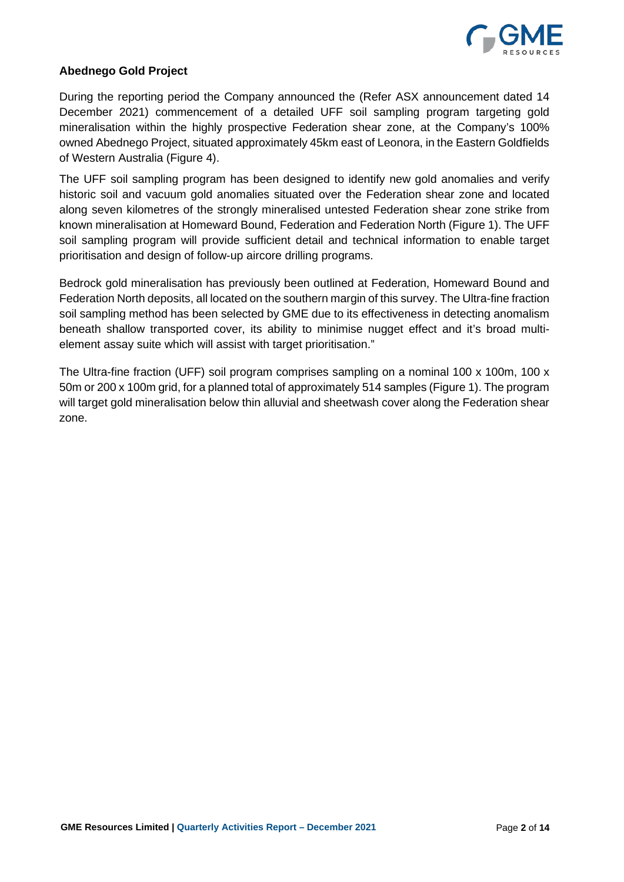

# **Abednego Gold Project**

During the reporting period the Company announced the (Refer ASX announcement dated 14 December 2021) commencement of a detailed UFF soil sampling program targeting gold mineralisation within the highly prospective Federation shear zone, at the Company's 100% owned Abednego Project, situated approximately 45km east of Leonora, in the Eastern Goldfields of Western Australia (Figure 4).

The UFF soil sampling program has been designed to identify new gold anomalies and verify historic soil and vacuum gold anomalies situated over the Federation shear zone and located along seven kilometres of the strongly mineralised untested Federation shear zone strike from known mineralisation at Homeward Bound, Federation and Federation North (Figure 1). The UFF soil sampling program will provide sufficient detail and technical information to enable target prioritisation and design of follow-up aircore drilling programs.

Bedrock gold mineralisation has previously been outlined at Federation, Homeward Bound and Federation North deposits, all located on the southern margin of this survey. The Ultra-fine fraction soil sampling method has been selected by GME due to its effectiveness in detecting anomalism beneath shallow transported cover, its ability to minimise nugget effect and it's broad multielement assay suite which will assist with target prioritisation."

The Ultra-fine fraction (UFF) soil program comprises sampling on a nominal 100 x 100m, 100 x 50m or 200 x 100m grid, for a planned total of approximately 514 samples (Figure 1). The program will target gold mineralisation below thin alluvial and sheetwash cover along the Federation shear zone.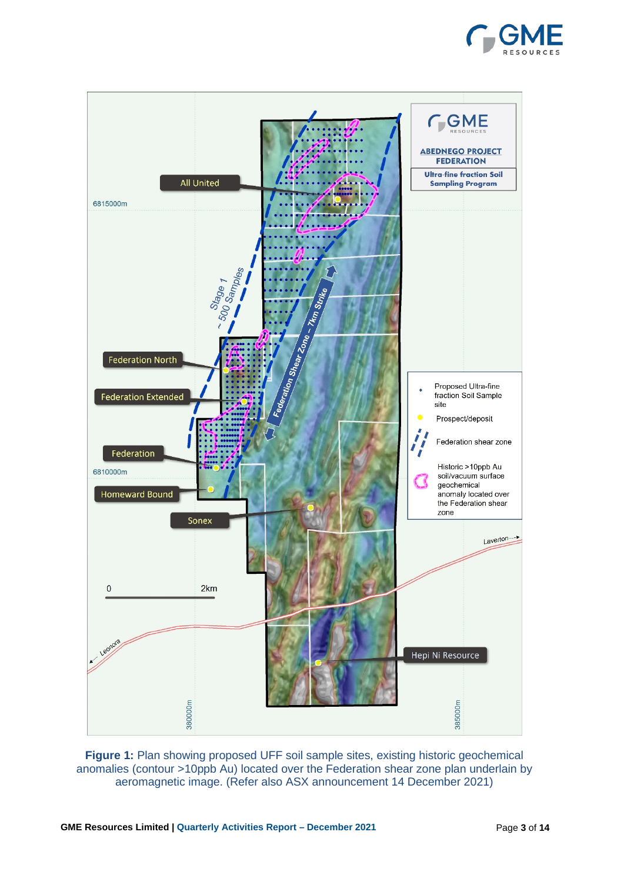



**Figure 1:** Plan showing proposed UFF soil sample sites, existing historic geochemical anomalies (contour >10ppb Au) located over the Federation shear zone plan underlain by aeromagnetic image. (Refer also ASX announcement 14 December 2021)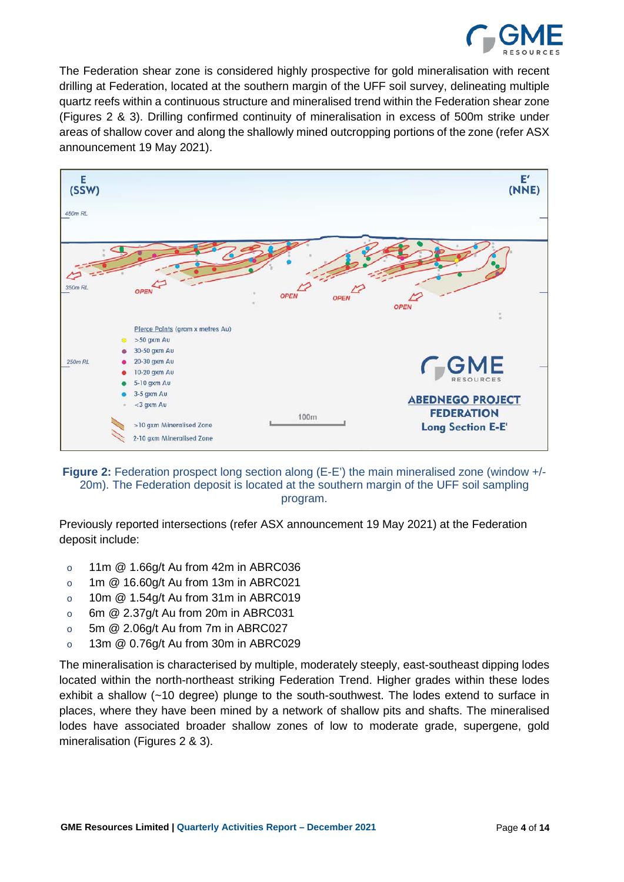

The Federation shear zone is considered highly prospective for gold mineralisation with recent drilling at Federation, located at the southern margin of the UFF soil survey, delineating multiple quartz reefs within a continuous structure and mineralised trend within the Federation shear zone (Figures 2 & 3). Drilling confirmed continuity of mineralisation in excess of 500m strike under areas of shallow cover and along the shallowly mined outcropping portions of the zone (refer ASX announcement 19 May 2021).



**Figure 2:** Federation prospect long section along (E-E') the main mineralised zone (window +/-20m). The Federation deposit is located at the southern margin of the UFF soil sampling program.

Previously reported intersections (refer ASX announcement 19 May 2021) at the Federation deposit include:

- o 11m @ 1.66g/t Au from 42m in ABRC036
- o 1m @ 16.60g/t Au from 13m in ABRC021
- $\circ$  10m  $\omega$  1.54g/t Au from 31m in ABRC019
- o 6m @ 2.37g/t Au from 20m in ABRC031
- $\circ$  5m  $\omega$  2.06g/t Au from 7m in ABRC027
- o 13m @ 0.76g/t Au from 30m in ABRC029

The mineralisation is characterised by multiple, moderately steeply, east-southeast dipping lodes located within the north-northeast striking Federation Trend. Higher grades within these lodes exhibit a shallow (~10 degree) plunge to the south-southwest. The lodes extend to surface in places, where they have been mined by a network of shallow pits and shafts. The mineralised lodes have associated broader shallow zones of low to moderate grade, supergene, gold mineralisation (Figures 2 & 3).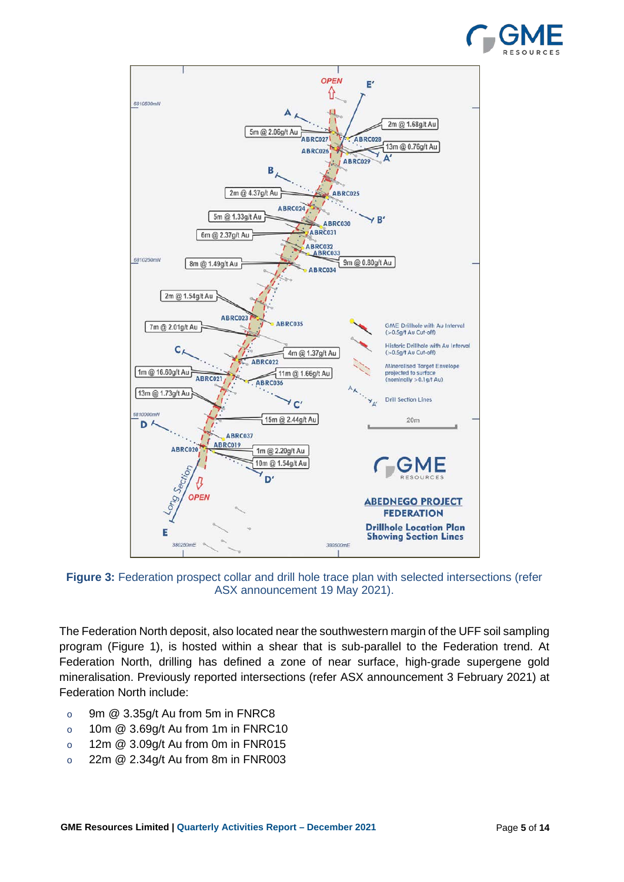



**Figure 3:** Federation prospect collar and drill hole trace plan with selected intersections (refer ASX announcement 19 May 2021).

The Federation North deposit, also located near the southwestern margin of the UFF soil sampling program (Figure 1), is hosted within a shear that is sub-parallel to the Federation trend. At Federation North, drilling has defined a zone of near surface, high-grade supergene gold mineralisation. Previously reported intersections (refer ASX announcement 3 February 2021) at Federation North include:

- $\circ$  9m  $\omega$  3.35g/t Au from 5m in FNRC8
- o 10m @ 3.69g/t Au from 1m in FNRC10
- o 12m @ 3.09g/t Au from 0m in FNR015
- $\degree$  22m  $\textcircled{2.34g/t}$  Au from 8m in FNR003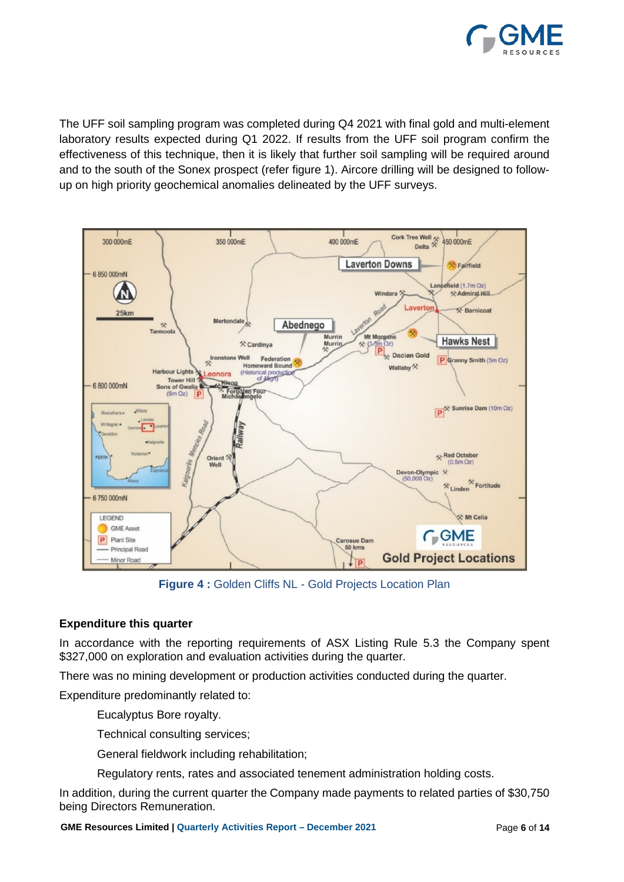

The UFF soil sampling program was completed during Q4 2021 with final gold and multi-element laboratory results expected during Q1 2022. If results from the UFF soil program confirm the effectiveness of this technique, then it is likely that further soil sampling will be required around and to the south of the Sonex prospect (refer figure 1). Aircore drilling will be designed to followup on high priority geochemical anomalies delineated by the UFF surveys.



**Figure 4 :** Golden Cliffs NL - Gold Projects Location Plan

# **Expenditure this quarter**

In accordance with the reporting requirements of ASX Listing Rule 5.3 the Company spent \$327,000 on exploration and evaluation activities during the quarter.

There was no mining development or production activities conducted during the quarter.

Expenditure predominantly related to:

Eucalyptus Bore royalty.

Technical consulting services;

General fieldwork including rehabilitation;

Regulatory rents, rates and associated tenement administration holding costs.

In addition, during the current quarter the Company made payments to related parties of \$30,750 being Directors Remuneration.

**GME Resources Limited | Quarterly Activities Report – December 2021**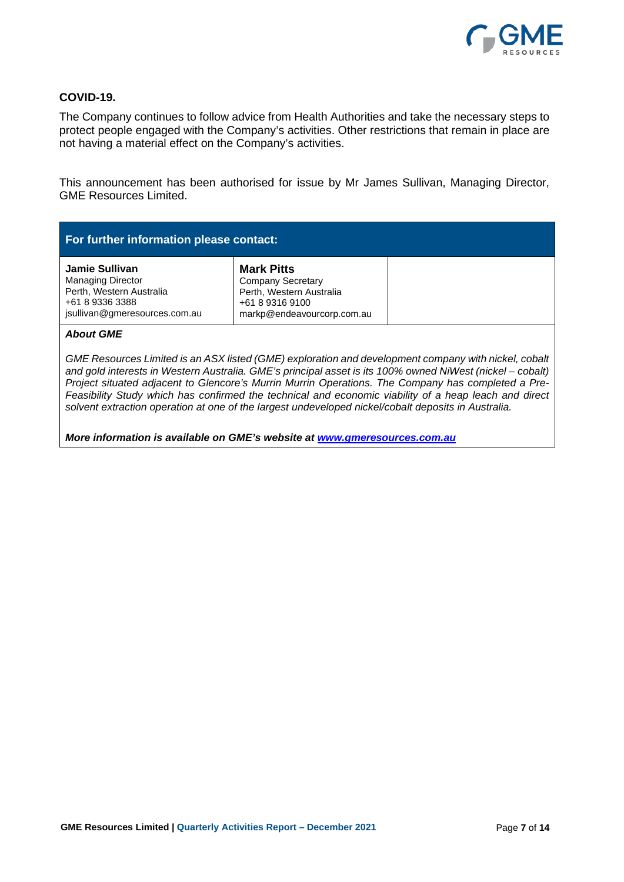

# **COVID-19.**

The Company continues to follow advice from Health Authorities and take the necessary steps to protect people engaged with the Company's activities. Other restrictions that remain in place are not having a material effect on the Company's activities.

This announcement has been authorised for issue by Mr James Sullivan, Managing Director, GME Resources Limited.

| For further information please contact:                                                                                    |                                                                                                                            |  |  |  |  |
|----------------------------------------------------------------------------------------------------------------------------|----------------------------------------------------------------------------------------------------------------------------|--|--|--|--|
| Jamie Sullivan<br><b>Managing Director</b><br>Perth, Western Australia<br>+61 8 9336 3388<br>jsullivan@gmeresources.com.au | <b>Mark Pitts</b><br><b>Company Secretary</b><br>Perth, Western Australia<br>+61 8 9316 9100<br>markp@endeavourcorp.com.au |  |  |  |  |

#### *About GME*

*GME Resources Limited is an ASX listed (GME) exploration and development company with nickel, cobalt and gold interests in Western Australia. GME's principal asset is its 100% owned NiWest (nickel – cobalt) Project situated adjacent to Glencore's Murrin Murrin Operations. The Company has completed a Pre-Feasibility Study which has confirmed the technical and economic viability of a heap leach and direct solvent extraction operation at one of the largest undeveloped nickel/cobalt deposits in Australia.* 

*More information is available on GME's website at www.gmeresources.com.au*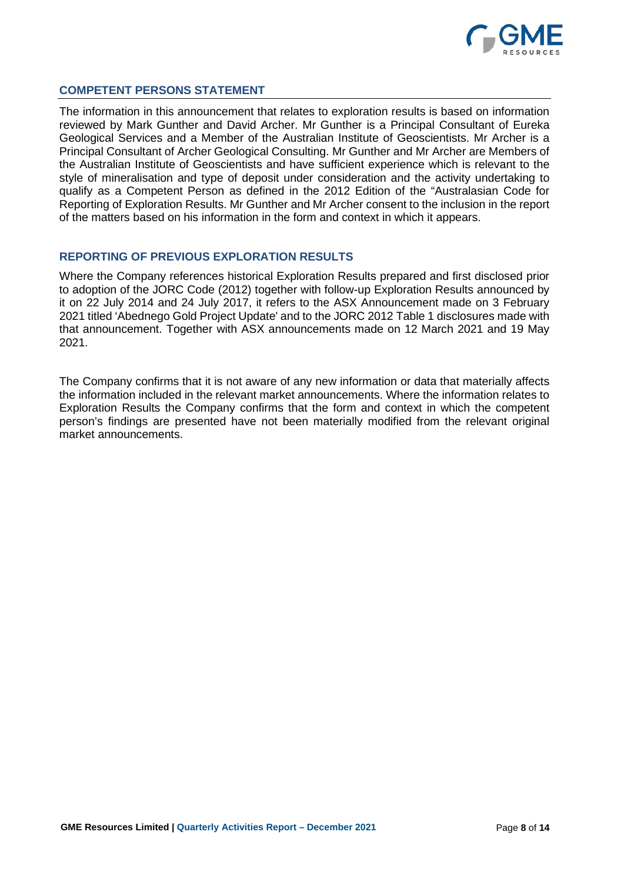

# **COMPETENT PERSONS STATEMENT**

The information in this announcement that relates to exploration results is based on information reviewed by Mark Gunther and David Archer. Mr Gunther is a Principal Consultant of Eureka Geological Services and a Member of the Australian Institute of Geoscientists. Mr Archer is a Principal Consultant of Archer Geological Consulting. Mr Gunther and Mr Archer are Members of the Australian Institute of Geoscientists and have sufficient experience which is relevant to the style of mineralisation and type of deposit under consideration and the activity undertaking to qualify as a Competent Person as defined in the 2012 Edition of the "Australasian Code for Reporting of Exploration Results. Mr Gunther and Mr Archer consent to the inclusion in the report of the matters based on his information in the form and context in which it appears.

# **REPORTING OF PREVIOUS EXPLORATION RESULTS**

Where the Company references historical Exploration Results prepared and first disclosed prior to adoption of the JORC Code (2012) together with follow-up Exploration Results announced by it on 22 July 2014 and 24 July 2017, it refers to the ASX Announcement made on 3 February 2021 titled 'Abednego Gold Project Update' and to the JORC 2012 Table 1 disclosures made with that announcement. Together with ASX announcements made on 12 March 2021 and 19 May 2021.

The Company confirms that it is not aware of any new information or data that materially affects the information included in the relevant market announcements. Where the information relates to Exploration Results the Company confirms that the form and context in which the competent person's findings are presented have not been materially modified from the relevant original market announcements.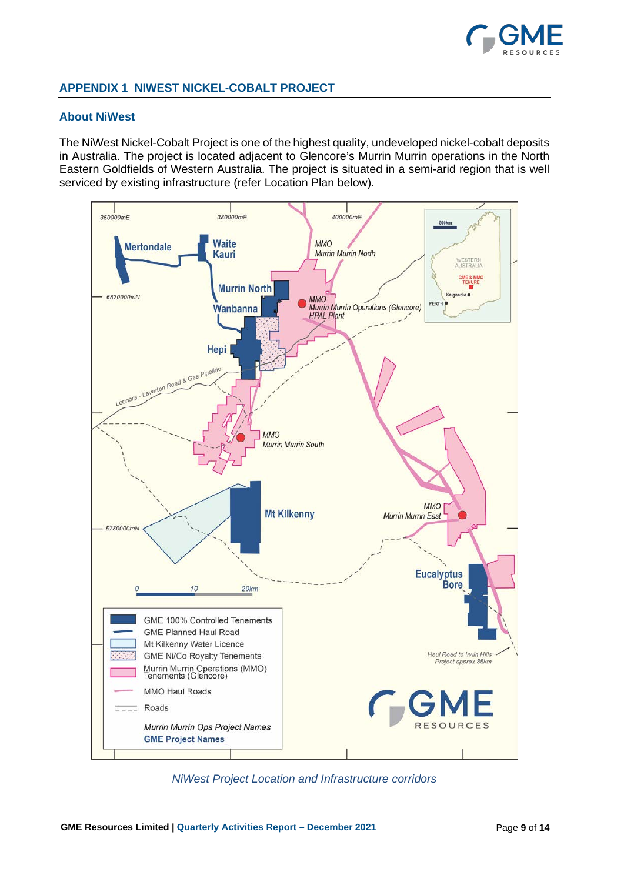

# **APPENDIX 1 NIWEST NICKEL-COBALT PROJECT**

### **About NiWest**

The NiWest Nickel-Cobalt Project is one of the highest quality, undeveloped nickel-cobalt deposits in Australia. The project is located adjacent to Glencore's Murrin Murrin operations in the North Eastern Goldfields of Western Australia. The project is situated in a semi-arid region that is well serviced by existing infrastructure (refer Location Plan below).



*NiWest Project Location and Infrastructure corridors*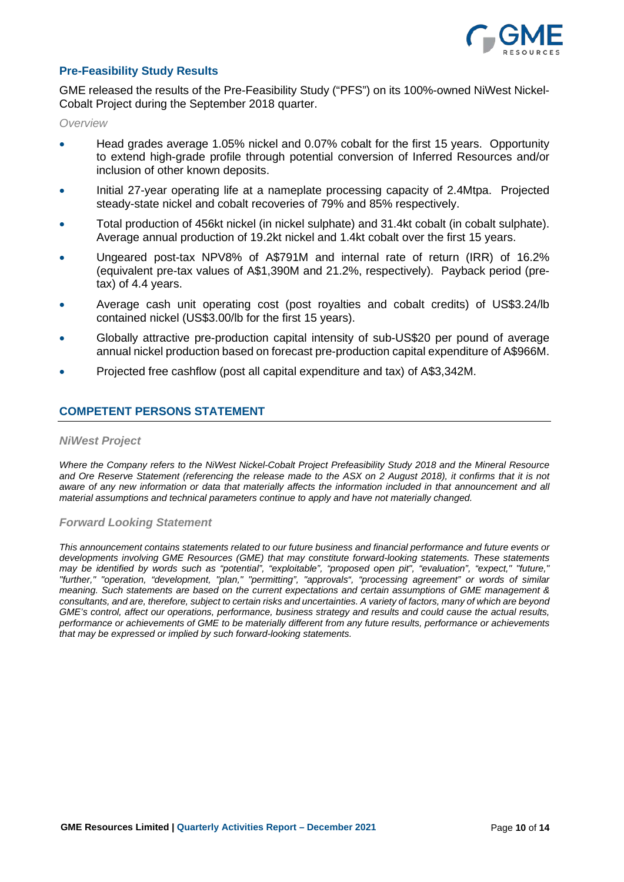

# **Pre-Feasibility Study Results**

GME released the results of the Pre-Feasibility Study ("PFS") on its 100%-owned NiWest Nickel-Cobalt Project during the September 2018 quarter.

*Overview*

- Head grades average 1.05% nickel and 0.07% cobalt for the first 15 years. Opportunity to extend high-grade profile through potential conversion of Inferred Resources and/or inclusion of other known deposits.
- Initial 27-year operating life at a nameplate processing capacity of 2.4Mtpa. Projected steady-state nickel and cobalt recoveries of 79% and 85% respectively.
- Total production of 456kt nickel (in nickel sulphate) and 31.4kt cobalt (in cobalt sulphate). Average annual production of 19.2kt nickel and 1.4kt cobalt over the first 15 years.
- Ungeared post-tax NPV8% of A\$791M and internal rate of return (IRR) of 16.2% (equivalent pre-tax values of A\$1,390M and 21.2%, respectively). Payback period (pretax) of 4.4 years.
- Average cash unit operating cost (post royalties and cobalt credits) of US\$3.24/lb contained nickel (US\$3.00/lb for the first 15 years).
- Globally attractive pre-production capital intensity of sub-US\$20 per pound of average annual nickel production based on forecast pre-production capital expenditure of A\$966M.
- Projected free cashflow (post all capital expenditure and tax) of A\$3,342M.

# **COMPETENT PERSONS STATEMENT**

#### *NiWest Project*

*Where the Company refers to the NiWest Nickel-Cobalt Project Prefeasibility Study 2018 and the Mineral Resource and Ore Reserve Statement (referencing the release made to the ASX on 2 August 2018), it confirms that it is not*  aware of any new information or data that materially affects the information included in that announcement and all *material assumptions and technical parameters continue to apply and have not materially changed.*

#### *Forward Looking Statement*

*This announcement contains statements related to our future business and financial performance and future events or developments involving GME Resources (GME) that may constitute forward-looking statements. These statements may be identified by words such as "potential", "exploitable", "proposed open pit", "evaluation", "expect," "future," "further," "operation, "development, "plan," "permitting", "approvals", "processing agreement" or words of similar meaning. Such statements are based on the current expectations and certain assumptions of GME management & consultants, and are, therefore, subject to certain risks and uncertainties. A variety of factors, many of which are beyond GME's control, affect our operations, performance, business strategy and results and could cause the actual results, performance or achievements of GME to be materially different from any future results, performance or achievements that may be expressed or implied by such forward-looking statements.*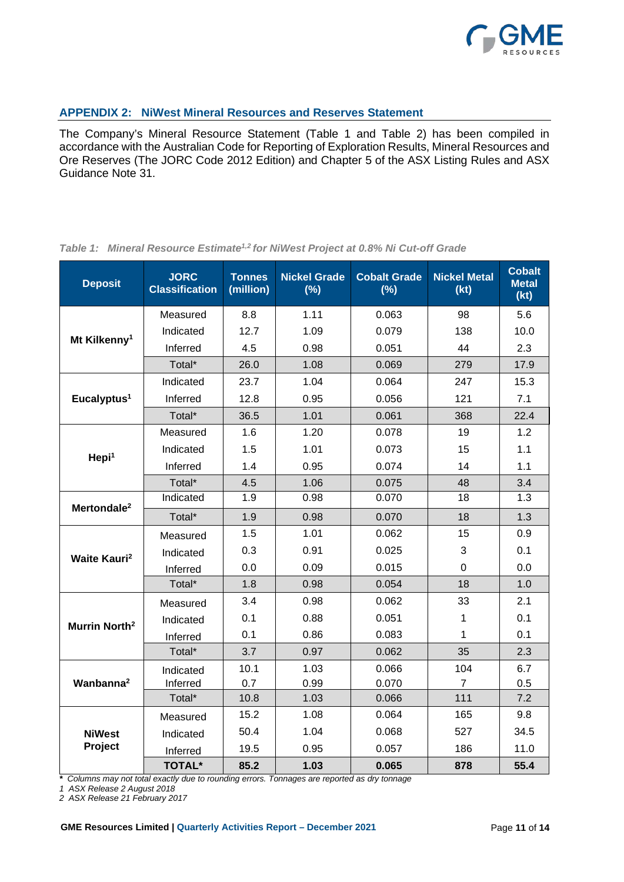

# **APPENDIX 2: NiWest Mineral Resources and Reserves Statement**

The Company's Mineral Resource Statement (Table 1 and Table 2) has been compiled in accordance with the Australian Code for Reporting of Exploration Results, Mineral Resources and Ore Reserves (The JORC Code 2012 Edition) and Chapter 5 of the ASX Listing Rules and ASX Guidance Note 31.

| <b>Deposit</b>                  | <b>JORC</b><br><b>Classification</b> | <b>Tonnes</b><br>(million) | <b>Nickel Grade</b><br>(%) | <b>Cobalt Grade</b><br>(%) | <b>Nickel Metal</b><br>(kt) | <b>Cobalt</b><br><b>Metal</b><br>(kt) |
|---------------------------------|--------------------------------------|----------------------------|----------------------------|----------------------------|-----------------------------|---------------------------------------|
|                                 | Measured                             | 8.8                        | 1.11                       | 0.063                      | 98                          | 5.6                                   |
| Mt Kilkenny <sup>1</sup>        | Indicated                            | 12.7                       | 1.09                       | 0.079                      | 138                         | 10.0                                  |
|                                 | Inferred                             | 4.5                        | 0.98                       | 0.051                      | 44                          | 2.3                                   |
|                                 | Total*                               | 26.0                       | 1.08                       | 0.069                      | 279                         | 17.9                                  |
|                                 | Indicated                            | 23.7                       | 1.04                       | 0.064                      | 247                         | 15.3                                  |
| Eucalyptus <sup>1</sup>         | Inferred                             | 12.8                       | 0.95                       | 0.056                      | 121                         | 7.1                                   |
|                                 | Total*                               | 36.5                       | 1.01                       | 0.061                      | 368                         | 22.4                                  |
|                                 | Measured                             | 1.6                        | 1.20                       | 0.078                      | 19                          | 1.2                                   |
| Hepi <sup>1</sup>               | Indicated                            | 1.5                        | 1.01                       | 0.073                      | 15                          | 1.1                                   |
|                                 | Inferred                             | 1.4                        | 0.95                       | 0.074                      | 14                          | 1.1                                   |
|                                 | Total*                               | 4.5                        | 1.06                       | 0.075                      | 48                          | 3.4                                   |
| Mertondale <sup>2</sup>         | Indicated                            | 1.9                        | 0.98                       | 0.070                      | 18                          | 1.3                                   |
|                                 | Total*                               | 1.9                        | 0.98                       | 0.070                      | 18                          | 1.3                                   |
|                                 | Measured                             | 1.5                        | 1.01                       | 0.062                      | 15                          | 0.9                                   |
| <b>Waite Kauri</b> <sup>2</sup> | Indicated                            | 0.3                        | 0.91                       | 0.025                      | 3                           | 0.1                                   |
|                                 | Inferred                             | 0.0                        | 0.09                       | 0.015                      | $\overline{0}$              | 0.0                                   |
|                                 | Total*                               | 1.8                        | 0.98                       | 0.054                      | 18                          | 1.0                                   |
|                                 | Measured                             | 3.4                        | 0.98                       | 0.062                      | 33                          | 2.1                                   |
| Murrin North <sup>2</sup>       | Indicated                            | 0.1                        | 0.88                       | 0.051                      | 1                           | 0.1                                   |
|                                 | Inferred                             | 0.1                        | 0.86                       | 0.083                      | 1                           | 0.1                                   |
|                                 | Total*                               | 3.7                        | 0.97                       | 0.062                      | 35                          | 2.3                                   |
| Wanbanna <sup>2</sup>           | Indicated                            | 10.1                       | 1.03                       | 0.066                      | 104                         | 6.7                                   |
|                                 | Inferred                             | 0.7                        | 0.99                       | 0.070                      | $\overline{7}$              | 0.5                                   |
|                                 | Total*                               | 10.8                       | 1.03                       | 0.066                      | 111                         | 7.2                                   |
|                                 | Measured                             | 15.2                       | 1.08                       | 0.064                      | 165                         | 9.8                                   |
| <b>NiWest</b>                   | Indicated                            | 50.4                       | 1.04                       | 0.068                      | 527                         | 34.5                                  |
| Project                         | Inferred                             | 19.5                       | 0.95                       | 0.057                      | 186                         | 11.0                                  |
|                                 | <b>TOTAL*</b>                        | 85.2                       | 1.03                       | 0.065                      | 878                         | 55.4                                  |

# *Table 1: Mineral Resource Estimate1,2 for NiWest Project at 0.8% Ni Cut-off Grade*

*\* Columns may not total exactly due to rounding errors. Tonnages are reported as dry tonnage*

*1 ASX Release 2 August 2018*

*2 ASX Release 21 February 2017*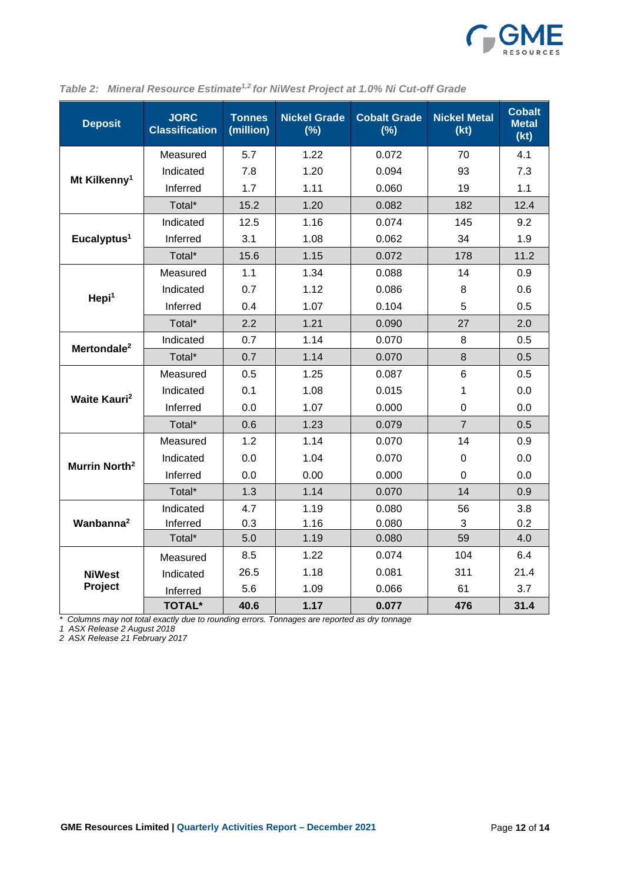

| <b>Deposit</b>                  | <b>JORC</b><br><b>Classification</b> | <b>Tonnes</b><br>(million) | <b>Nickel Grade</b><br>(%) | <b>Cobalt Grade</b><br>(%) | <b>Nickel Metal</b><br>(kt) | <b>Cobalt</b><br><b>Metal</b><br>(kt) |
|---------------------------------|--------------------------------------|----------------------------|----------------------------|----------------------------|-----------------------------|---------------------------------------|
|                                 | Measured                             | 5.7                        | 1.22                       | 0.072                      | 70                          | 4.1                                   |
|                                 | Indicated                            | 7.8                        | 1.20                       | 0.094                      | 93                          | 7.3                                   |
| Mt Kilkenny <sup>1</sup>        | Inferred                             | 1.7                        | 1.11                       | 0.060                      | 19                          | 1.1                                   |
|                                 | Total*                               | 15.2                       | 1.20                       | 0.082                      | 182                         | 12.4                                  |
|                                 | Indicated                            | 12.5                       | 1.16                       | 0.074                      | 145                         | 9.2                                   |
| Eucalyptus <sup>1</sup>         | Inferred                             | 3.1                        | 1.08                       | 0.062                      | 34                          | 1.9                                   |
|                                 | Total*                               | 15.6                       | 1.15                       | 0.072                      | 178                         | 11.2                                  |
|                                 | Measured                             | 1.1                        | 1.34                       | 0.088                      | 14                          | 0.9                                   |
| Hepi <sup>1</sup>               | Indicated                            | 0.7                        | 1.12                       | 0.086                      | 8                           | 0.6                                   |
|                                 | Inferred                             | 0.4                        | 1.07                       | 0.104                      | 5                           | 0.5                                   |
|                                 | Total*                               | 2.2                        | 1.21                       | 0.090                      | 27                          | 2.0                                   |
| Mertondale <sup>2</sup>         | Indicated                            | 0.7                        | 1.14                       | 0.070                      | 8                           | 0.5                                   |
|                                 | Total*                               | 0.7                        | 1.14                       | 0.070                      | 8                           | 0.5                                   |
|                                 | Measured                             | 0.5                        | 1.25                       | 0.087                      | 6                           | 0.5                                   |
| <b>Waite Kauri</b> <sup>2</sup> | Indicated                            | 0.1                        | 1.08                       | 0.015                      | 1                           | 0.0                                   |
|                                 | Inferred                             | 0.0                        | 1.07                       | 0.000                      | $\overline{0}$              | 0.0                                   |
|                                 | Total*                               | 0.6                        | 1.23                       | 0.079                      | $\overline{7}$              | 0.5                                   |
|                                 | Measured                             | 1.2                        | 1.14                       | 0.070                      | 14                          | 0.9                                   |
| Murrin North <sup>2</sup>       | Indicated                            | 0.0                        | 1.04                       | 0.070                      | 0                           | 0.0                                   |
|                                 | Inferred                             | 0.0                        | 0.00                       | 0.000                      | 0                           | 0.0                                   |
|                                 | Total*                               | 1.3                        | 1.14                       | 0.070                      | 14                          | 0.9                                   |
| Wanbanna <sup>2</sup>           | Indicated                            | 4.7                        | 1.19                       | 0.080                      | 56                          | 3.8                                   |
|                                 | Inferred                             | 0.3                        | 1.16                       | 0.080                      | 3                           | 0.2                                   |
|                                 | Total*                               | 5.0                        | 1.19                       | 0.080                      | 59                          | 4.0                                   |
|                                 | Measured                             | 8.5                        | 1.22                       | 0.074                      | 104                         | 6.4                                   |
| <b>NiWest</b>                   | Indicated                            | 26.5                       | 1.18                       | 0.081                      | 311                         | 21.4                                  |
| Project                         | Inferred                             | 5.6                        | 1.09                       | 0.066                      | 61                          | 3.7                                   |
|                                 | <b>TOTAL*</b>                        | 40.6                       | 1.17                       | 0.077                      | 476                         | 31.4                                  |

|  | Table 2: Mineral Resource Estimate <sup>1,2</sup> for NiWest Project at 1.0% Ni Cut-off Grade |  |  |  |  |  |  |
|--|-----------------------------------------------------------------------------------------------|--|--|--|--|--|--|
|--|-----------------------------------------------------------------------------------------------|--|--|--|--|--|--|

*\* Columns may not total exactly due to rounding errors. Tonnages are reported as dry tonnage*

*1 ASX Release 2 August 2018*

*2 ASX Release 21 February 2017*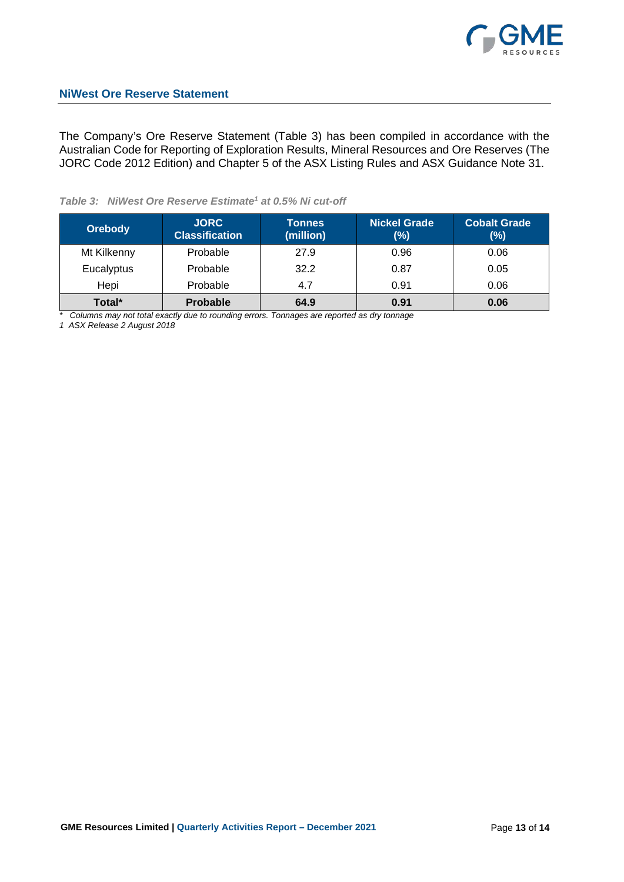

The Company's Ore Reserve Statement (Table 3) has been compiled in accordance with the Australian Code for Reporting of Exploration Results, Mineral Resources and Ore Reserves (The JORC Code 2012 Edition) and Chapter 5 of the ASX Listing Rules and ASX Guidance Note 31.

# *Table 3: NiWest Ore Reserve Estimate1 at 0.5% Ni cut-off*

| <b>Orebody</b> | <b>JORC</b><br><b>Classification</b> | <b>Tonnes</b><br>(million) | <b>Nickel Grade</b><br>$(\%)$ | <b>Cobalt Grade</b><br>$(\%)$ |
|----------------|--------------------------------------|----------------------------|-------------------------------|-------------------------------|
| Mt Kilkenny    | Probable                             | 27.9                       | 0.96                          | 0.06                          |
| Eucalyptus     | Probable                             | 32.2                       | 0.87                          | 0.05                          |
| Hepi           | Probable                             | 4.7                        | 0.91                          | 0.06                          |
| Total*         | <b>Probable</b>                      | 64.9                       | 0.91                          | 0.06                          |

*\* Columns may not total exactly due to rounding errors. Tonnages are reported as dry tonnage*

*1 ASX Release 2 August 2018*